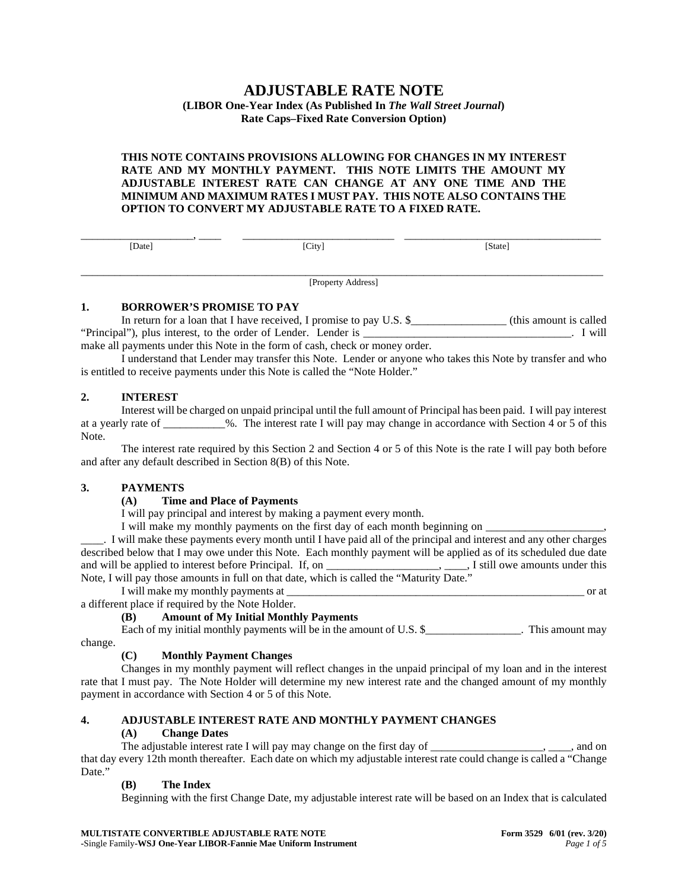# **ADJUSTABLE RATE NOTE**

## **(LIBOR One-Year Index (As Published In** *The Wall Street Journal***) Rate Caps–Fixed Rate Conversion Option)**

### **THIS NOTE CONTAINS PROVISIONS ALLOWING FOR CHANGES IN MY INTEREST RATE AND MY MONTHLY PAYMENT. THIS NOTE LIMITS THE AMOUNT MY ADJUSTABLE INTEREST RATE CAN CHANGE AT ANY ONE TIME AND THE MINIMUM AND MAXIMUM RATES I MUST PAY. THIS NOTE ALSO CONTAINS THE OPTION TO CONVERT MY ADJUSTABLE RATE TO A FIXED RATE.**

 $\Box$   $[Date]$   $\Box$   $[City]$   $[City]$   $[State]$ \_\_\_\_\_\_\_\_\_\_\_\_\_\_\_\_\_\_\_\_\_\_\_\_\_\_\_\_\_\_\_\_\_\_\_\_\_\_\_\_\_\_\_\_\_\_\_\_\_\_\_\_\_\_\_\_\_\_\_\_\_\_\_\_\_\_\_\_\_\_\_\_\_\_\_\_\_\_\_\_\_\_\_\_\_\_\_\_\_\_\_\_\_

[Property Address]

#### **1. BORROWER'S PROMISE TO PAY**

In return for a loan that I have received, I promise to pay U.S. \$\_\_\_\_\_\_\_\_\_\_\_\_\_\_\_\_\_\_\_\_ (this amount is called "Principal"), plus interest, to the order of Lender. Lender is \_\_\_\_\_\_\_\_\_\_\_\_\_\_\_\_\_\_\_\_\_\_\_\_\_\_\_\_\_\_\_\_\_\_\_\_\_. I will make all payments under this Note in the form of cash, check or money order.

I understand that Lender may transfer this Note. Lender or anyone who takes this Note by transfer and who is entitled to receive payments under this Note is called the "Note Holder."

### **2. INTEREST**

Interest will be charged on unpaid principal until the full amount of Principal has been paid. I will pay interest at a yearly rate of  $\%$ . The interest rate I will pay may change in accordance with Section 4 or 5 of this Note.

The interest rate required by this Section 2 and Section 4 or 5 of this Note is the rate I will pay both before and after any default described in Section 8(B) of this Note.

### **3. PAYMENTS**

### **(A) Time and Place of Payments**

I will pay principal and interest by making a payment every month.

I will make my monthly payments on the first day of each month beginning on

\_\_\_\_. I will make these payments every month until I have paid all of the principal and interest and any other charges described below that I may owe under this Note. Each monthly payment will be applied as of its scheduled due date and will be applied to interest before Principal. If, on \_\_\_\_\_\_\_\_\_\_\_\_\_\_\_\_\_\_\_\_\_, \_\_\_\_, I still owe amounts under this Note, I will pay those amounts in full on that date, which is called the "Maturity Date."

I will make my monthly payments at \_\_\_\_\_\_\_\_\_\_\_\_\_\_\_\_\_\_\_\_\_\_\_\_\_\_\_\_\_\_\_\_\_\_\_\_\_\_\_\_\_\_\_\_\_\_\_\_\_\_\_\_\_ or at

a different place if required by the Note Holder.

# **(B) Amount of My Initial Monthly Payments**

Each of my initial monthly payments will be in the amount of U.S. \$\_\_\_\_\_\_\_\_\_\_\_\_\_\_\_\_. This amount may change.

#### **(C) Monthly Payment Changes**

Changes in my monthly payment will reflect changes in the unpaid principal of my loan and in the interest rate that I must pay. The Note Holder will determine my new interest rate and the changed amount of my monthly payment in accordance with Section 4 or 5 of this Note.

# **4. ADJUSTABLE INTEREST RATE AND MONTHLY PAYMENT CHANGES**

# **(A) Change Dates**

The adjustable interest rate I will pay may change on the first day of \_\_\_\_\_\_\_\_\_\_\_\_\_\_\_\_\_\_, \_\_\_\_, and on that day every 12th month thereafter. Each date on which my adjustable interest rate could change is called a "Change Date."

### **(B) The Index**

Beginning with the first Change Date, my adjustable interest rate will be based on an Index that is calculated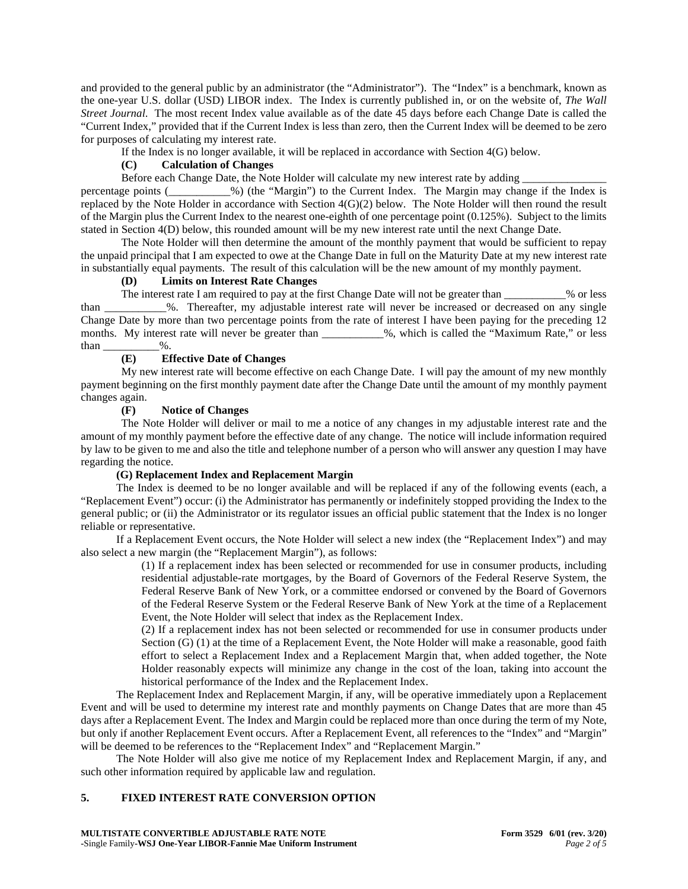and provided to the general public by an administrator (the "Administrator"). The "Index" is a benchmark, known as the one-year U.S. dollar (USD) LIBOR index. The Index is currently published in, or on the website of, *The Wall Street Journal*. The most recent Index value available as of the date 45 days before each Change Date is called the "Current Index," provided that if the Current Index is less than zero, then the Current Index will be deemed to be zero for purposes of calculating my interest rate.

If the Index is no longer available, it will be replaced in accordance with Section 4(G) below.

# **(C) Calculation of Changes**

Before each Change Date, the Note Holder will calculate my new interest rate by adding

percentage points (\_\_\_\_\_\_\_\_\_\_\_%) (the "Margin") to the Current Index. The Margin may change if the Index is replaced by the Note Holder in accordance with Section 4(G)(2) below. The Note Holder will then round the result of the Margin plus the Current Index to the nearest one-eighth of one percentage point  $(0.125\%)$ . Subject to the limits stated in Section 4(D) below, this rounded amount will be my new interest rate until the next Change Date.

The Note Holder will then determine the amount of the monthly payment that would be sufficient to repay the unpaid principal that I am expected to owe at the Change Date in full on the Maturity Date at my new interest rate in substantially equal payments. The result of this calculation will be the new amount of my monthly payment.

### **(D) Limits on Interest Rate Changes**

The interest rate I am required to pay at the first Change Date will not be greater than \_\_\_\_\_\_\_\_\_\_\_% or less than \_\_\_\_\_\_\_\_\_\_\_%. Thereafter, my adjustable interest rate will never be increased or decreased on any single Change Date by more than two percentage points from the rate of interest I have been paying for the preceding 12 months. My interest rate will never be greater than \_\_\_\_\_\_\_\_\_\_\_%, which is called the "Maximum Rate," or less than  $\%$ .

### **(E) Effective Date of Changes**

My new interest rate will become effective on each Change Date. I will pay the amount of my new monthly payment beginning on the first monthly payment date after the Change Date until the amount of my monthly payment changes again.

#### **(F) Notice of Changes**

The Note Holder will deliver or mail to me a notice of any changes in my adjustable interest rate and the amount of my monthly payment before the effective date of any change. The notice will include information required by law to be given to me and also the title and telephone number of a person who will answer any question I may have regarding the notice.

#### **(G) Replacement Index and Replacement Margin**

The Index is deemed to be no longer available and will be replaced if any of the following events (each, a "Replacement Event") occur: (i) the Administrator has permanently or indefinitely stopped providing the Index to the general public; or (ii) the Administrator or its regulator issues an official public statement that the Index is no longer reliable or representative.

If a Replacement Event occurs, the Note Holder will select a new index (the "Replacement Index") and may also select a new margin (the "Replacement Margin"), as follows:

> (1) If a replacement index has been selected or recommended for use in consumer products, including residential adjustable-rate mortgages, by the Board of Governors of the Federal Reserve System, the Federal Reserve Bank of New York, or a committee endorsed or convened by the Board of Governors of the Federal Reserve System or the Federal Reserve Bank of New York at the time of a Replacement Event, the Note Holder will select that index as the Replacement Index.

> (2) If a replacement index has not been selected or recommended for use in consumer products under Section (G) (1) at the time of a Replacement Event, the Note Holder will make a reasonable, good faith effort to select a Replacement Index and a Replacement Margin that, when added together, the Note Holder reasonably expects will minimize any change in the cost of the loan, taking into account the historical performance of the Index and the Replacement Index.

The Replacement Index and Replacement Margin, if any, will be operative immediately upon a Replacement Event and will be used to determine my interest rate and monthly payments on Change Dates that are more than 45 days after a Replacement Event. The Index and Margin could be replaced more than once during the term of my Note, but only if another Replacement Event occurs. After a Replacement Event, all references to the "Index" and "Margin" will be deemed to be references to the "Replacement Index" and "Replacement Margin."

The Note Holder will also give me notice of my Replacement Index and Replacement Margin, if any, and such other information required by applicable law and regulation.

### **5. FIXED INTEREST RATE CONVERSION OPTION**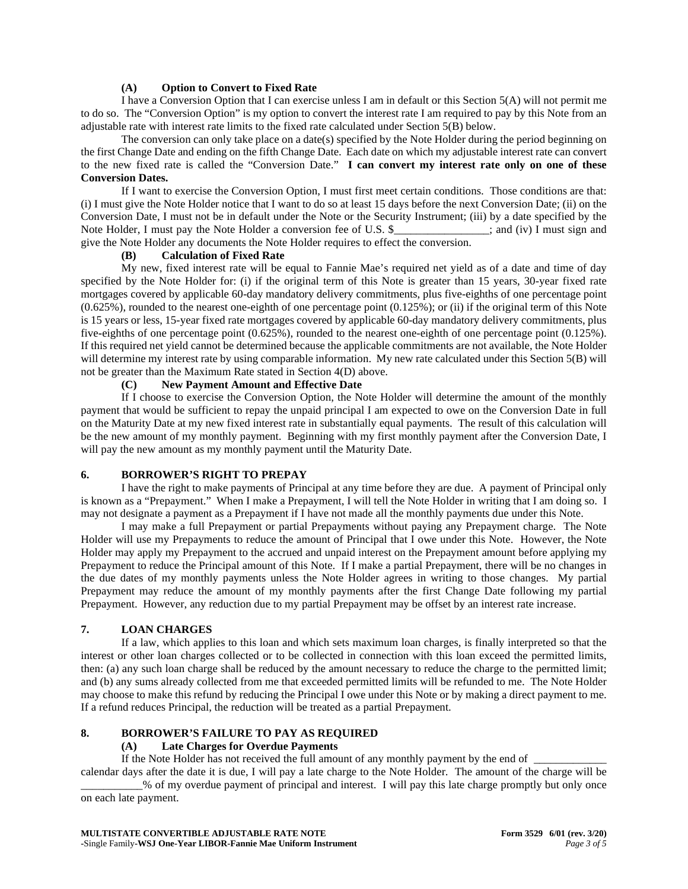# **(A) Option to Convert to Fixed Rate**

I have a Conversion Option that I can exercise unless I am in default or this Section 5(A) will not permit me to do so. The "Conversion Option" is my option to convert the interest rate I am required to pay by this Note from an adjustable rate with interest rate limits to the fixed rate calculated under Section 5(B) below.

The conversion can only take place on a date(s) specified by the Note Holder during the period beginning on the first Change Date and ending on the fifth Change Date. Each date on which my adjustable interest rate can convert to the new fixed rate is called the "Conversion Date." **I can convert my interest rate only on one of these Conversion Dates.**

If I want to exercise the Conversion Option, I must first meet certain conditions. Those conditions are that: (i) I must give the Note Holder notice that I want to do so at least 15 days before the next Conversion Date; (ii) on the Conversion Date, I must not be in default under the Note or the Security Instrument; (iii) by a date specified by the Note Holder, I must pay the Note Holder a conversion fee of U.S.  $\frac{1}{2}$  and (iv) I must sign and give the Note Holder any documents the Note Holder requires to effect the conversion.

#### **(B) Calculation of Fixed Rate**

My new, fixed interest rate will be equal to Fannie Mae's required net yield as of a date and time of day specified by the Note Holder for: (i) if the original term of this Note is greater than 15 years, 30-year fixed rate mortgages covered by applicable 60-day mandatory delivery commitments, plus five-eighths of one percentage point (0.625%), rounded to the nearest one-eighth of one percentage point (0.125%); or (ii) if the original term of this Note is 15 years or less, 15-year fixed rate mortgages covered by applicable 60-day mandatory delivery commitments, plus five**-**eighths of one percentage point (0.625%), rounded to the nearest one-eighth of one percentage point (0.125%). If this required net yield cannot be determined because the applicable commitments are not available, the Note Holder will determine my interest rate by using comparable information. My new rate calculated under this Section 5(B) will not be greater than the Maximum Rate stated in Section 4(D) above.

### **(C) New Payment Amount and Effective Date**

If I choose to exercise the Conversion Option, the Note Holder will determine the amount of the monthly payment that would be sufficient to repay the unpaid principal I am expected to owe on the Conversion Date in full on the Maturity Date at my new fixed interest rate in substantially equal payments. The result of this calculation will be the new amount of my monthly payment. Beginning with my first monthly payment after the Conversion Date, I will pay the new amount as my monthly payment until the Maturity Date.

#### **6. BORROWER'S RIGHT TO PREPAY**

I have the right to make payments of Principal at any time before they are due. A payment of Principal only is known as a "Prepayment." When I make a Prepayment, I will tell the Note Holder in writing that I am doing so. I may not designate a payment as a Prepayment if I have not made all the monthly payments due under this Note.

I may make a full Prepayment or partial Prepayments without paying any Prepayment charge. The Note Holder will use my Prepayments to reduce the amount of Principal that I owe under this Note. However, the Note Holder may apply my Prepayment to the accrued and unpaid interest on the Prepayment amount before applying my Prepayment to reduce the Principal amount of this Note. If I make a partial Prepayment, there will be no changes in the due dates of my monthly payments unless the Note Holder agrees in writing to those changes. My partial Prepayment may reduce the amount of my monthly payments after the first Change Date following my partial Prepayment. However, any reduction due to my partial Prepayment may be offset by an interest rate increase.

### **7. LOAN CHARGES**

If a law, which applies to this loan and which sets maximum loan charges, is finally interpreted so that the interest or other loan charges collected or to be collected in connection with this loan exceed the permitted limits, then: (a) any such loan charge shall be reduced by the amount necessary to reduce the charge to the permitted limit; and (b) any sums already collected from me that exceeded permitted limits will be refunded to me. The Note Holder may choose to make this refund by reducing the Principal I owe under this Note or by making a direct payment to me. If a refund reduces Principal, the reduction will be treated as a partial Prepayment.

#### **8. BORROWER'S FAILURE TO PAY AS REQUIRED**

#### **(A) Late Charges for Overdue Payments**

If the Note Holder has not received the full amount of any monthly payment by the end of

calendar days after the date it is due, I will pay a late charge to the Note Holder. The amount of the charge will be \_\_\_\_\_\_\_\_\_\_\_% of my overdue payment of principal and interest. I will pay this late charge promptly but only once on each late payment.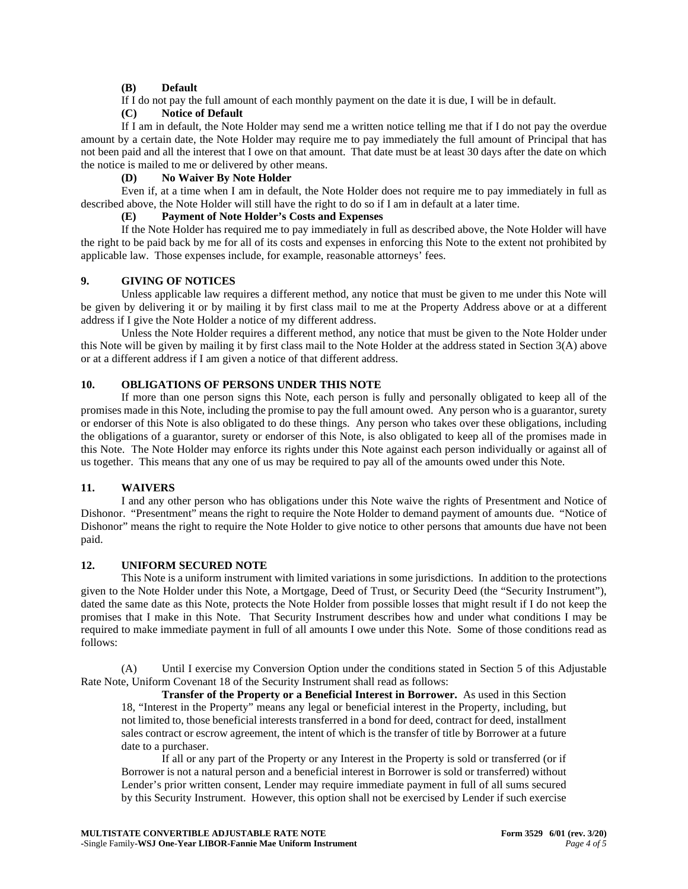### **(B) Default**

If I do not pay the full amount of each monthly payment on the date it is due, I will be in default.

#### **(C) Notice of Default**

If I am in default, the Note Holder may send me a written notice telling me that if I do not pay the overdue amount by a certain date, the Note Holder may require me to pay immediately the full amount of Principal that has not been paid and all the interest that I owe on that amount. That date must be at least 30 days after the date on which the notice is mailed to me or delivered by other means.

#### **(D) No Waiver By Note Holder**

Even if, at a time when I am in default, the Note Holder does not require me to pay immediately in full as described above, the Note Holder will still have the right to do so if I am in default at a later time.

# **(E) Payment of Note Holder's Costs and Expenses**

If the Note Holder has required me to pay immediately in full as described above, the Note Holder will have the right to be paid back by me for all of its costs and expenses in enforcing this Note to the extent not prohibited by applicable law. Those expenses include, for example, reasonable attorneys' fees.

#### **9. GIVING OF NOTICES**

Unless applicable law requires a different method, any notice that must be given to me under this Note will be given by delivering it or by mailing it by first class mail to me at the Property Address above or at a different address if I give the Note Holder a notice of my different address.

Unless the Note Holder requires a different method, any notice that must be given to the Note Holder under this Note will be given by mailing it by first class mail to the Note Holder at the address stated in Section 3(A) above or at a different address if I am given a notice of that different address.

### **10. OBLIGATIONS OF PERSONS UNDER THIS NOTE**

If more than one person signs this Note, each person is fully and personally obligated to keep all of the promises made in this Note, including the promise to pay the full amount owed. Any person who is a guarantor, surety or endorser of this Note is also obligated to do these things. Any person who takes over these obligations, including the obligations of a guarantor, surety or endorser of this Note, is also obligated to keep all of the promises made in this Note. The Note Holder may enforce its rights under this Note against each person individually or against all of us together. This means that any one of us may be required to pay all of the amounts owed under this Note.

### **11. WAIVERS**

I and any other person who has obligations under this Note waive the rights of Presentment and Notice of Dishonor. "Presentment" means the right to require the Note Holder to demand payment of amounts due. "Notice of Dishonor" means the right to require the Note Holder to give notice to other persons that amounts due have not been paid.

#### **12. UNIFORM SECURED NOTE**

This Note is a uniform instrument with limited variations in some jurisdictions. In addition to the protections given to the Note Holder under this Note, a Mortgage, Deed of Trust, or Security Deed (the "Security Instrument"), dated the same date as this Note, protects the Note Holder from possible losses that might result if I do not keep the promises that I make in this Note. That Security Instrument describes how and under what conditions I may be required to make immediate payment in full of all amounts I owe under this Note. Some of those conditions read as follows:

(A) Until I exercise my Conversion Option under the conditions stated in Section 5 of this Adjustable Rate Note, Uniform Covenant 18 of the Security Instrument shall read as follows:

**Transfer of the Property or a Beneficial Interest in Borrower.** As used in this Section 18, "Interest in the Property" means any legal or beneficial interest in the Property, including, but not limited to, those beneficial interests transferred in a bond for deed, contract for deed, installment sales contract or escrow agreement, the intent of which is the transfer of title by Borrower at a future date to a purchaser.

If all or any part of the Property or any Interest in the Property is sold or transferred (or if Borrower is not a natural person and a beneficial interest in Borrower is sold or transferred) without Lender's prior written consent, Lender may require immediate payment in full of all sums secured by this Security Instrument. However, this option shall not be exercised by Lender if such exercise